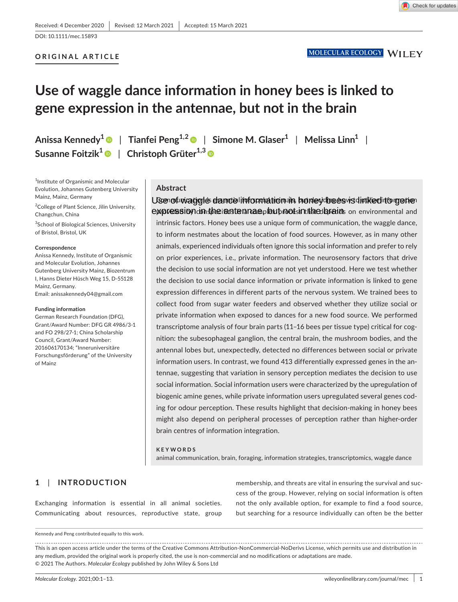Check for updates

# **ORIGINAL ARTICLE**

# **Use of waggle dance information in honey bees is linked to gene expression in the antennae, but not in the brain**

**Anissa Kennedy<sup>1</sup>** | **Tianfei Peng1,[2](https://orcid.org/0000-0003-2239-9967)** | **Simone M. Glaser<sup>1</sup>** | **Melissa Linn<sup>1</sup>** | **Susanne Foitzik<sup>1</sup>** | **Christoph Grüter1,3**

<sup>1</sup>Institute of Organismic and Molecular Evolution, Johannes Gutenberg University Mainz, Mainz, Germany

<sup>2</sup>College of Plant Science, Jilin University, Changchun, China

<sup>3</sup>School of Biological Sciences, University of Bristol, Bristol, UK

#### **Correspondence**

Anissa Kennedy, Institute of Organismic and Molecular Evolution, Johannes Gutenberg University Mainz, Biozentrum I, Hanns Dieter Hüsch Weg 15, D-55128 Mainz, Germany. Email: [anissakennedy04@gmail.com](mailto:anissakennedy04@gmail.com)

#### **Funding information**

German Research Foundation (DFG), Grant/Award Number: DFG GR 4986/3-1 and FO 298/27-1; China Scholarship Council, Grant/Award Number: 201606170134; "Inneruniversitäre Forschungsförderung" of the University of Mainz

# **Abstract**

# Use of waggle dance information in honey bees is linked to gene expression in the iantennae, but not sinthe brains on environmental and

intrinsic factors. Honey bees use a unique form of communication, the waggle dance, to inform nestmates about the location of food sources. However, as in many other animals, experienced individuals often ignore this social information and prefer to rely on prior experiences, i.e., private information. The neurosensory factors that drive the decision to use social information are not yet understood. Here we test whether the decision to use social dance information or private information is linked to gene expression differences in different parts of the nervous system. We trained bees to collect food from sugar water feeders and observed whether they utilize social or private information when exposed to dances for a new food source. We performed transcriptome analysis of four brain parts (11–16 bees per tissue type) critical for cognition: the subesophageal ganglion, the central brain, the mushroom bodies, and the antennal lobes but, unexpectedly, detected no differences between social or private information users. In contrast, we found 413 differentially expressed genes in the antennae, suggesting that variation in sensory perception mediates the decision to use social information. Social information users were characterized by the upregulation of biogenic amine genes, while private information users upregulated several genes coding for odour perception. These results highlight that decision-making in honey bees might also depend on peripheral processes of perception rather than higher-order brain centres of information integration.

#### **KEYWORDS**

animal communication, brain, foraging, information strategies, transcriptomics, waggle dance

# **1**  | **INTRODUCTION**

Exchanging information is essential in all animal societies. Communicating about resources, reproductive state, group

membership, and threats are vital in ensuring the survival and success of the group. However, relying on social information is often not the only available option, for example to find a food source, but searching for a resource individually can often be the better

Kennedy and Peng contributed equally to this work.

This is an open access article under the terms of the [Creative Commons Attribution-NonCommercial-NoDerivs](http://creativecommons.org/licenses/by-nc-nd/4.0/) License, which permits use and distribution in any medium, provided the original work is properly cited, the use is non-commercial and no modifications or adaptations are made. © 2021 The Authors. *Molecular Ecology* published by John Wiley & Sons Ltd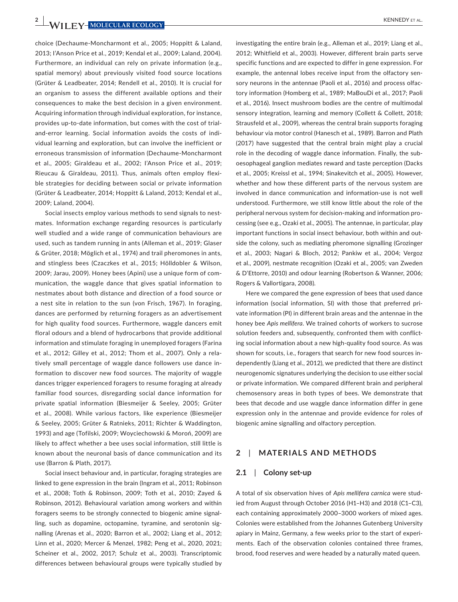**2 WII FY-MOLECULAR ECOLOGY EXAMPLE AL.** *KENNEDY ET AL.* 

choice (Dechaume-Moncharmont et al., 2005; Hoppitt & Laland, 2013; I'Anson Price et al., 2019; Kendal et al., 2009; Laland, 2004). Furthermore, an individual can rely on private information (e.g., spatial memory) about previously visited food source locations (Grüter & Leadbeater, 2014; Rendell et al., 2010). It is crucial for an organism to assess the different available options and their consequences to make the best decision in a given environment. Acquiring information through individual exploration, for instance, provides up-to-date information, but comes with the cost of trialand-error learning. Social information avoids the costs of individual learning and exploration, but can involve the inefficient or erroneous transmission of information (Dechaume-Moncharmont et al., 2005; Giraldeau et al., 2002; I'Anson Price et al., 2019; Rieucau & Giraldeau, 2011). Thus, animals often employ flexible strategies for deciding between social or private information (Grüter & Leadbeater, 2014; Hoppitt & Laland, 2013; Kendal et al., 2009; Laland, 2004).

Social insects employ various methods to send signals to nestmates. Information exchange regarding resources is particularly well studied and a wide range of communication behaviours are used, such as tandem running in ants (Alleman et al., 2019; Glaser & Grüter, 2018; Möglich et al., 1974) and trail pheromones in ants, and stingless bees (Czaczkes et al., 2015; Hölldobler & Wilson, 2009; Jarau, 2009). Honey bees (Apini) use a unique form of communication, the waggle dance that gives spatial information to nestmates about both distance and direction of a food source or a nest site in relation to the sun (von Frisch, 1967). In foraging, dances are performed by returning foragers as an advertisement for high quality food sources. Furthermore, waggle dancers emit floral odours and a blend of hydrocarbons that provide additional information and stimulate foraging in unemployed foragers (Farina et al., 2012; Gilley et al., 2012; Thom et al., 2007). Only a relatively small percentage of waggle dance followers use dance information to discover new food sources. The majority of waggle dances trigger experienced foragers to resume foraging at already familiar food sources, disregarding social dance information for private spatial information (Biesmeijer & Seeley, 2005; Grüter et al., 2008). While various factors, like experience (Biesmeijer & Seeley, 2005; Grüter & Ratnieks, 2011; Richter & Waddington, 1993) and age (Tofilski, 2009; Woyciechowski & Moroń, 2009) are likely to affect whether a bee uses social information, still little is known about the neuronal basis of dance communication and its use (Barron & Plath, 2017).

Social insect behaviour and, in particular, foraging strategies are linked to gene expression in the brain (Ingram et al., 2011; Robinson et al., 2008; Toth & Robinson, 2009; Toth et al., 2010; Zayed & Robinson, 2012). Behavioural variation among workers and within foragers seems to be strongly connected to biogenic amine signalling, such as dopamine, octopamine, tyramine, and serotonin signalling (Arenas et al., 2020; Barron et al., 2002; Liang et al., 2012; Linn et al., 2020; Mercer & Menzel, 1982; Peng et al., 2020, 2021; Scheiner et al., 2002, 2017; Schulz et al., 2003). Transcriptomic differences between behavioural groups were typically studied by

investigating the entire brain (e.g., Alleman et al., 2019; Liang et al., 2012; Whitfield et al., 2003). However, different brain parts serve specific functions and are expected to differ in gene expression. For example, the antennal lobes receive input from the olfactory sensory neurons in the antennae (Paoli et al., 2016) and process olfactory information (Homberg et al., 1989; MaBouDi et al., 2017; Paoli et al., 2016). Insect mushroom bodies are the centre of multimodal sensory integration, learning and memory (Collett & Collett, 2018; Strausfeld et al., 2009), whereas the central brain supports foraging behaviour via motor control (Hanesch et al., 1989). Barron and Plath (2017) have suggested that the central brain might play a crucial role in the decoding of waggle dance information. Finally, the suboesophageal ganglion mediates reward and taste perception (Dacks et al., 2005; Kreissl et al., 1994; Sinakevitch et al., 2005). However, whether and how these different parts of the nervous system are involved in dance communication and information-use is not well understood. Furthermore, we still know little about the role of the peripheral nervous system for decision-making and information processing (see e.g., Ozaki et al., 2005). The antennae, in particular, play important functions in social insect behaviour, both within and outside the colony, such as mediating pheromone signalling (Grozinger et al., 2003; Nagari & Bloch, 2012; Pankiw et al., 2004; Vergoz et al., 2009), nestmate recognition (Ozaki et al., 2005; van Zweden & D'Ettorre, 2010) and odour learning (Robertson & Wanner, 2006; Rogers & Vallortigara, 2008).

Here we compared the gene expression of bees that used dance information (social information, SI) with those that preferred private information (PI) in different brain areas and the antennae in the honey bee *Apis mellifera*. We trained cohorts of workers to sucrose solution feeders and, subsequently, confronted them with conflicting social information about a new high-quality food source. As was shown for scouts, i.e., foragers that search for new food sources independently (Liang et al., 2012), we predicted that there are distinct neurogenomic signatures underlying the decision to use either social or private information. We compared different brain and peripheral chemosensory areas in both types of bees. We demonstrate that bees that decode and use waggle dance information differ in gene expression only in the antennae and provide evidence for roles of biogenic amine signalling and olfactory perception.

## **2**  | **MATERIALS AND METHODS**

#### **2.1**  | **Colony set-up**

A total of six observation hives of *Apis mellifera carnica* were studied from August through October 2016 (H1–H3) and 2018 (C1–C3), each containing approximately 2000–3000 workers of mixed ages. Colonies were established from the Johannes Gutenberg University apiary in Mainz, Germany, a few weeks prior to the start of experiments. Each of the observation colonies contained three frames, brood, food reserves and were headed by a naturally mated queen.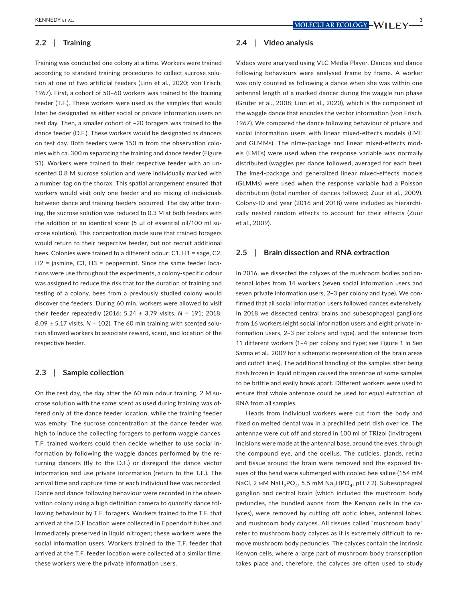# **2.2**  | **Training**

Training was conducted one colony at a time. Workers were trained according to standard training procedures to collect sucrose solution at one of two artificial feeders (Linn et al., 2020; von Frisch, 1967). First, a cohort of 50–60 workers was trained to the training feeder (T.F.). These workers were used as the samples that would later be designated as either social or private information users on test day. Then, a smaller cohort of ~20 foragers was trained to the dance feeder (D.F.). These workers would be designated as dancers on test day. Both feeders were 150 m from the observation colonies with ca. 300 m separating the training and dance feeder (Figure S1). Workers were trained to their respective feeder with an unscented 0.8 M sucrose solution and were individually marked with a number tag on the thorax. This spatial arrangement ensured that workers would visit only one feeder and no mixing of individuals between dance and training feeders occurred. The day after training, the sucrose solution was reduced to 0.3 M at both feeders with the addition of an identical scent (5 µl of essential oil/100 ml sucrose solution). This concentration made sure that trained foragers would return to their respective feeder, but not recruit additional bees. Colonies were trained to a different odour: C1, H1 = sage, C2, H2 = jasmine, C3, H3 = peppermint. Since the same feeder locations were use throughout the experiments, a colony-specific odour was assigned to reduce the risk that for the duration of training and testing of a colony, bees from a previously studied colony would discover the feeders. During 60 min, workers were allowed to visit their feeder repeatedly (2016: 5.24 ± 3.79 visits, *N* = 191; 2018: 8.09 ± 5.17 visits, *N* = 102). The 60 min training with scented solution allowed workers to associate reward, scent, and location of the respective feeder.

#### **2.3**  | **Sample collection**

On the test day, the day after the 60 min odour training, 2 M sucrose solution with the same scent as used during training was offered only at the dance feeder location, while the training feeder was empty. The sucrose concentration at the dance feeder was high to induce the collecting foragers to perform waggle dances. T.F. trained workers could then decide whether to use social information by following the waggle dances performed by the returning dancers (fly to the D.F.) or disregard the dance vector information and use private information (return to the T.F.). The arrival time and capture time of each individual bee was recorded. Dance and dance following behaviour were recorded in the observation colony using a high definition camera to quantify dance following behaviour by T.F. foragers. Workers trained to the T.F. that arrived at the D.F location were collected in Eppendorf tubes and immediately preserved in liquid nitrogen; these workers were the social information users. Workers trained to the T.F. feeder that arrived at the T.F. feeder location were collected at a similar time; these workers were the private information users.

## **2.4**  | **Video analysis**

Videos were analysed using VLC Media Player. Dances and dance following behaviours were analysed frame by frame. A worker was only counted as following a dance when she was within one antennal length of a marked dancer during the waggle run phase (Grüter et al., 2008; Linn et al., 2020), which is the component of the waggle dance that encodes the vector information (von Frisch, 1967). We compared the dance following behaviour of private and social information users with linear mixed-effects models (LME and GLMMs). The nlme-package and linear mixed-effects models (LMEs) were used when the response variable was normally distributed (waggles per dance followed, averaged for each bee). The lme4-package and generalized linear mixed-effects models (GLMMs) were used when the response variable had a Poisson distribution (total number of dances followed; Zuur et al., 2009). Colony-ID and year (2016 and 2018) were included as hierarchically nested random effects to account for their effects (Zuur et al., 2009).

#### **2.5**  | **Brain dissection and RNA extraction**

In 2016, we dissected the calyxes of the mushroom bodies and antennal lobes from 14 workers (seven social information users and seven private information users, 2–3 per colony and type). We confirmed that all social information users followed dances extensively. In 2018 we dissected central brains and subesophageal ganglions from 16 workers (eight social information users and eight private information users, 2–3 per colony and type), and the antennae from 11 different workers (1–4 per colony and type; see Figure 1 in Sen Sarma et al., 2009 for a schematic representation of the brain areas and cutoff lines). The additional handling of the samples after being flash frozen in liquid nitrogen caused the antennae of some samples to be brittle and easily break apart. Different workers were used to ensure that whole antennae could be used for equal extraction of RNA from all samples.

Heads from individual workers were cut from the body and fixed on melted dental wax in a prechilled petri dish over ice. The antennae were cut off and stored in 100 ml of TRIzol (Invitrogen). Incisions were made at the antennal base, around the eyes, through the compound eye, and the ocellus. The cuticles, glands, retina and tissue around the brain were removed and the exposed tissues of the head were submerged with cooled bee saline (154 mM NaCl, 2 mM NaH<sub>2</sub>PO<sub>4</sub>, 5.5 mM Na<sub>2</sub>HPO<sub>4</sub>, pH 7.2). Subesophageal ganglion and central brain (which included the mushroom body peduncles, the bundled axons from the Kenyon cells in the calyces), were removed by cutting off optic lobes, antennal lobes, and mushroom body calyces. All tissues called "mushroom body" refer to mushroom body calyces as it is extremely difficult to remove mushroom body peduncles. The calyces contain the intrinsic Kenyon cells, where a large part of mushroom body transcription takes place and, therefore, the calyces are often used to study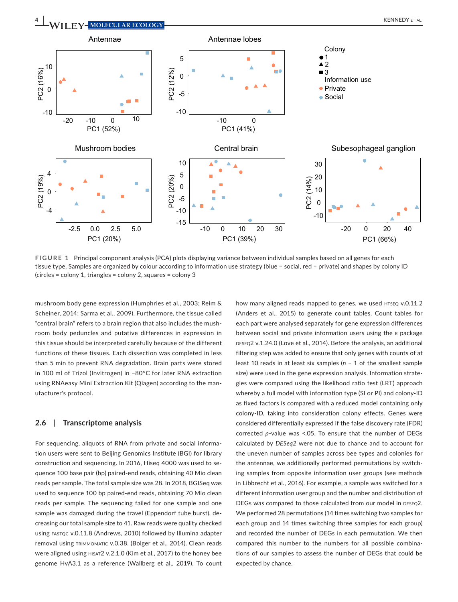

**FIGURE 1** Principal component analysis (PCA) plots displaying variance between individual samples based on all genes for each tissue type. Samples are organized by colour according to information use strategy (blue = social, red = private) and shapes by colony ID (circles = colony 1, triangles = colony 2, squares = colony 3

mushroom body gene expression (Humphries et al., 2003; Reim & Scheiner, 2014; Sarma et al., 2009). Furthermore, the tissue called "central brain" refers to a brain region that also includes the mushroom body peduncles and putative differences in expression in this tissue should be interpreted carefully because of the different functions of these tissues. Each dissection was completed in less than 5 min to prevent RNA degradation. Brain parts were stored in 100 ml of Trizol (Invitrogen) in −80°C for later RNA extraction using RNAeasy Mini Extraction Kit (Qiagen) according to the manufacturer's protocol.

#### **2.6**  | **Transcriptome analysis**

For sequencing, aliquots of RNA from private and social information users were sent to Beijing Genomics Institute (BGI) for library construction and sequencing. In 2016, Hiseq 4000 was used to sequence 100 base pair (bp) paired-end reads, obtaining 40 Mio clean reads per sample. The total sample size was 28. In 2018, BGISeq was used to sequence 100 bp paired-end reads, obtaining 70 Mio clean reads per sample. The sequencing failed for one sample and one sample was damaged during the travel (Eppendorf tube burst), decreasing our total sample size to 41. Raw reads were quality checked using fastqc v.0.11.8 (Andrews, 2010) followed by Illumina adapter removal using trimmomatic v.0.38. (Bolger et al., 2014). Clean reads were aligned using hisat2 v.2.1.0 (Kim et al., 2017) to the honey bee genome HvA3.1 as a reference (Wallberg et al., 2019). To count

how many aligned reads mapped to genes, we used HTSEQ v.0.11.2 (Anders et al., 2015) to generate count tables. Count tables for each part were analysed separately for gene expression differences between social and private information users using the R package DESEQ2 v.1.24.0 (Love et al., 2014). Before the analysis, an additional filtering step was added to ensure that only genes with counts of at least 10 reads in at least six samples (*n* − 1 of the smallest sample size) were used in the gene expression analysis. Information strategies were compared using the likelihood ratio test (LRT) approach whereby a full model with information type (SI or PI) and colony-ID as fixed factors is compared with a reduced model containing only colony-ID, taking into consideration colony effects. Genes were considered differentially expressed if the false discovery rate (FDR) corrected *p*-value was <.05. To ensure that the number of DEGs calculated by *DESeq2* were not due to chance and to account for the uneven number of samples across bee types and colonies for the antennae, we additionally performed permutations by switching samples from opposite information user groups (see methods in Libbrecht et al., 2016). For example, a sample was switched for a different information user group and the number and distribution of DEGs was compared to those calculated from our model in DESEQ2. We performed 28 permutations (14 times switching two samples for each group and 14 times switching three samples for each group) and recorded the number of DEGs in each permutation. We then compared this number to the numbers for all possible combinations of our samples to assess the number of DEGs that could be expected by chance.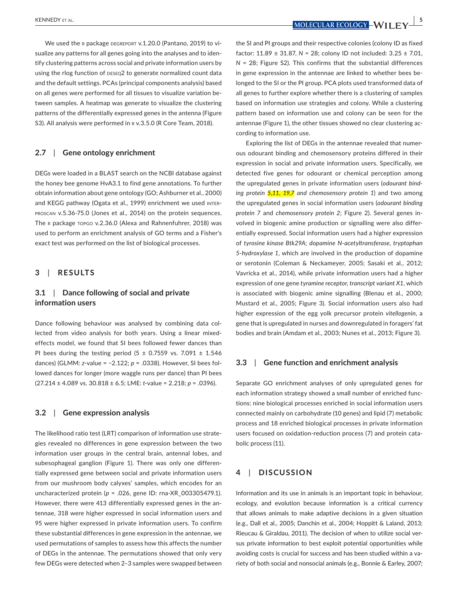KENNEDY et al. **<sup>|</sup> 5**

We used the R package DEGREPORT V.1.20.0 (Pantano, 2019) to visualize any patterns for all genes going into the analyses and to identify clustering patterns across social and private information users by using the rlog function of DESEQ2 to generate normalized count data and the default settings. PCAs (principal components analysis) based on all genes were performed for all tissues to visualize variation between samples. A heatmap was generate to visualize the clustering patterns of the differentially expressed genes in the antenna (Figure S3). All analysis were performed in R v.3.5.0 (R Core Team, 2018).

#### **2.7**  | **Gene ontology enrichment**

DEGs were loaded in a BLAST search on the NCBI database against the honey bee genome HvA3.1 to find gene annotations. To further obtain information about gene ontology (GO; Ashburner et al., 2000) and KEGG pathway (Ogata et al., 1999) enrichment we used interproscan v.5.36-75.0 (Jones et al., 2014) on the protein sequences. The R package TOPGO v.2.36.0 (Alexa and Rahnenfuhrer, 2018) was used to perform an enrichment analysis of GO terms and a Fisher's exact test was performed on the list of biological processes.

#### **3**  | **RESULTS**

# **3.1**  | **Dance following of social and private information users**

Dance following behaviour was analysed by combining data collected from video analysis for both years. Using a linear mixedeffects model, we found that SI bees followed fewer dances than PI bees during the testing period (5  $\pm$  0.7559 vs. 7.091  $\pm$  1.546 dances) (GLMM: *z*-value = −2.122; *p* = .0338). However, SI bees followed dances for longer (more waggle runs per dance) than PI bees (27.214 ± 4.089 vs. 30.818 ± 6.5; LME: *t*-value = 2.218; *p* = .0396).

#### **3.2**  | **Gene expression analysis**

The likelihood ratio test (LRT) comparison of information use strategies revealed no differences in gene expression between the two information user groups in the central brain, antennal lobes, and subesophageal ganglion (Figure 1). There was only one differentially expressed gene between social and private information users from our mushroom body calyxes' samples, which encodes for an uncharacterized protein (*p* = .026, gene ID: rna-XR\_003305479.1). However, there were 413 differentially expressed genes in the antennae, 318 were higher expressed in social information users and 95 were higher expressed in private information users. To confirm these substantial differences in gene expression in the antennae, we used permutations of samples to assess how this affects the number of DEGs in the antennae. The permutations showed that only very few DEGs were detected when 2–3 samples were swapped between

the SI and PI groups and their respective colonies (colony ID as fixed factor: 11.89 ± 31.87, *N* = 28; colony ID not included: 3.25 ± 7.01, *N* = 28; Figure S2). This confirms that the substantial differences in gene expression in the antennae are linked to whether bees belonged to the SI or the PI group. PCA plots used transformed data of all genes to further explore whether there is a clustering of samples based on information use strategies and colony. While a clustering pattern based on information use and colony can be seen for the antennae (Figure 1), the other tissues showed no clear clustering according to information use.

Exploring the list of DEGs in the antennae revealed that numerous odourant binding and chemosensory proteins differed in their expression in social and private information users. Specifically, we detected five genes for odourant or chemical perception among the upregulated genes in private information users (*odourant binding protein 5*,*11*, *19*,*7 and chemosensory protein 1*) and two among the upregulated genes in social information users (*odourant binding protein 7* and *chemosensory protein 2*; Figure 2). Several genes involved in biogenic amine production or signalling were also differentially expressed. Social information users had a higher expression of *tyrosine kinase Btk29A*; *dopamine N*-*acetyltransferase*, *tryptophan 5*-*hydroxylase 1*, which are involved in the production of dopamine or serotonin (Coleman & Neckameyer, 2005; Sasaki et al., 2012; Vavricka et al., 2014), while private information users had a higher expression of one gene *tyramine receptor*, *transcript variant X1*, which is associated with biogenic amine signalling (Blenau et al., 2000; Mustard et al., 2005; Figure 3). Social information users also had higher expression of the egg yolk precursor protein *vitellogenin*, a gene that is upregulated in nurses and downregulated in foragers' fat bodies and brain (Amdam et al., 2003; Nunes et al., 2013; Figure 3).

#### **3.3**  | **Gene function and enrichment analysis**

Separate GO enrichment analyses of only upregulated genes for each information strategy showed a small number of enriched functions: nine biological processes enriched in social information users connected mainly on carbohydrate (10 genes) and lipid (7) metabolic process and 18 enriched biological processes in private information users focused on oxidation-reduction process (7) and protein catabolic process (11).

#### **4**  | **DISCUSSION**

Information and its use in animals is an important topic in behaviour, ecology, and evolution because information is a critical currency that allows animals to make adaptive decisions in a given situation (e.g., Dall et al., 2005; Danchin et al., 2004; Hoppitt & Laland, 2013; Rieucau & Giraldau, 2011). The decision of when to utilize social versus private information to best exploit potential opportunities while avoiding costs is crucial for success and has been studied within a variety of both social and nonsocial animals (e.g., Bonnie & Earley, 2007;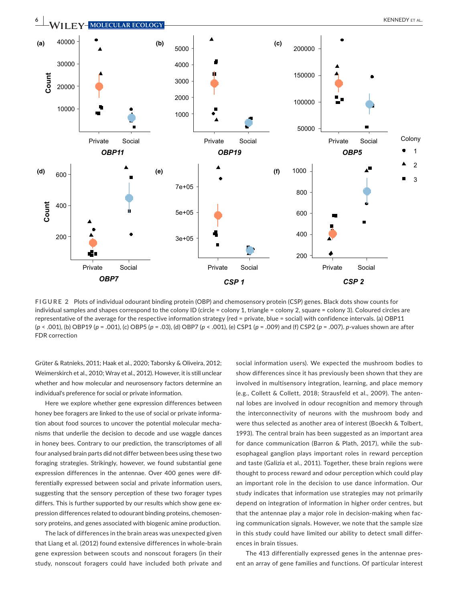

**FIGURE 2** Plots of individual odourant binding protein (OBP) and chemosensory protein (CSP) genes. Black dots show counts for individual samples and shapes correspond to the colony ID (circle = colony 1, triangle = colony 2, square = colony 3). Coloured circles are representative of the average for the respective information strategy (red = private, blue = social) with confidence intervals. (a) OBP11 (*p* < .001), (b) OBP19 (*p* = .001), (c) OBP5 (*p* = .03), (d) OBP7 (*p* < .001), (e) CSP1 (*p* = .009) and (f) CSP2 (*p* = .007). *p*-values shown are after FDR correction

Grüter & Ratnieks, 2011; Haak et al., 2020; Taborsky & Oliveira, 2012; Weimerskirch et al., 2010; Wray et al., 2012). However, it is still unclear whether and how molecular and neurosensory factors determine an individual's preference for social or private information.

Here we explore whether gene expression differences between honey bee foragers are linked to the use of social or private information about food sources to uncover the potential molecular mechanisms that underlie the decision to decode and use waggle dances in honey bees. Contrary to our prediction, the transcriptomes of all four analysed brain parts did not differ between bees using these two foraging strategies. Strikingly, however, we found substantial gene expression differences in the antennae. Over 400 genes were differentially expressed between social and private information users, suggesting that the sensory perception of these two forager types differs. This is further supported by our results which show gene expression differences related to odourant binding proteins, chemosensory proteins, and genes associated with biogenic amine production.

The lack of differences in the brain areas was unexpected given that Liang et al. (2012) found extensive differences in whole-brain gene expression between scouts and nonscout foragers (in their study, nonscout foragers could have included both private and

social information users). We expected the mushroom bodies to show differences since it has previously been shown that they are involved in multisensory integration, learning, and place memory (e.g., Collett & Collett, 2018; Strausfeld et al., 2009). The antennal lobes are involved in odour recognition and memory through the interconnectivity of neurons with the mushroom body and were thus selected as another area of interest (Boeckh & Tolbert, 1993). The central brain has been suggested as an important area for dance communication (Barron & Plath, 2017), while the subesophageal ganglion plays important roles in reward perception and taste (Galizia et al., 2011). Together, these brain regions were thought to process reward and odour perception which could play an important role in the decision to use dance information. Our study indicates that information use strategies may not primarily depend on integration of information in higher order centres, but that the antennae play a major role in decision-making when facing communication signals. However, we note that the sample size in this study could have limited our ability to detect small differences in brain tissues.

The 413 differentially expressed genes in the antennae present an array of gene families and functions. Of particular interest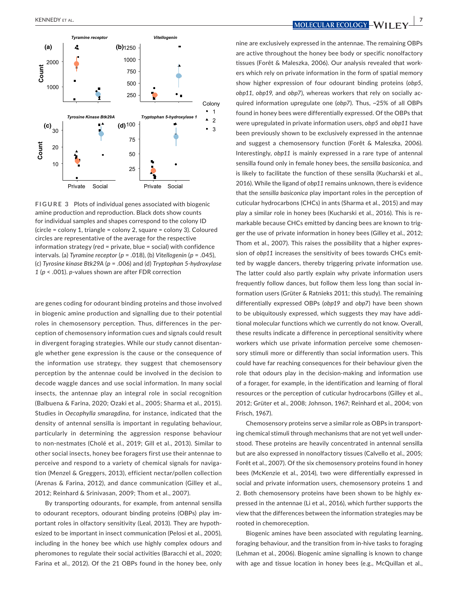

**FIGURE 3** Plots of individual genes associated with biogenic amine production and reproduction. Black dots show counts for individual samples and shapes correspond to the colony ID (circle = colony 1, triangle = colony 2, square = colony 3). Coloured circles are representative of the average for the respective information strategy (red = private, blue = social) with confidence intervals. (a) *Tyramine receptor* (*p* = .018), (b) *Vitellogenin* (*p* = .045), (c) *Tyrosine kinase Btk29A* (*p* = .006) and (d) *Tryptophan 5-hydroxylase 1* (*p* < .001). *p*-values shown are after FDR correction

are genes coding for odourant binding proteins and those involved in biogenic amine production and signalling due to their potential roles in chemosensory perception. Thus, differences in the perception of chemosensory information cues and signals could result in divergent foraging strategies. While our study cannot disentangle whether gene expression is the cause or the consequence of the information use strategy, they suggest that chemosensory perception by the antennae could be involved in the decision to decode waggle dances and use social information. In many social insects, the antennae play an integral role in social recognition (Balbuena & Farina, 2020; Ozaki et al., 2005; Sharma et al., 2015). Studies in *Oecophylla smaragdina*, for instance, indicated that the density of antennal sensilla is important in regulating behaviour, particularly in determining the aggression response behaviour to non-nestmates (Cholé et al., 2019; Gill et al., 2013). Similar to other social insects, honey bee foragers first use their antennae to perceive and respond to a variety of chemical signals for navigation (Menzel & Greggers, 2013), efficient nectar/pollen collection (Arenas & Farina, 2012), and dance communication (Gilley et al., 2012; Reinhard & Srinivasan, 2009; Thom et al., 2007).

By transporting odourants, for example, from antennal sensilla to odourant receptors, odourant binding proteins (OBPs) play important roles in olfactory sensitivity (Leal, 2013). They are hypothesized to be important in insect communication (Pelosi et al., 2005), including in the honey bee which use highly complex odours and pheromones to regulate their social activities (Baracchi et al., 2020; Farina et al., 2012). Of the 21 OBPs found in the honey bee, only

nine are exclusively expressed in the antennae. The remaining OBPs are active throughout the honey bee body or specific nonolfactory tissues (Forêt & Maleszka, 2006). Our analysis revealed that workers which rely on private information in the form of spatial memory show higher expression of four odourant binding proteins (*obp5*, *obp11*, *obp19*, and *obp7*), whereas workers that rely on socially acquired information upregulate one (*obp7*). Thus, ~25% of all OBPs found in honey bees were differentially expressed. Of the OBPs that were upregulated in private information users, *obp5* and *obp11* have been previously shown to be exclusively expressed in the antennae and suggest a chemosensory function (Forêt & Maleszka, 2006). Interestingly, *obp11* is mainly expressed in a rare type of antennal sensilla found only in female honey bees, the *sensilla basiconica*, and is likely to facilitate the function of these sensilla (Kucharski et al., 2016). While the ligand of *obp11* remains unknown, there is evidence that the *sensilla basiconica* play important roles in the perception of cuticular hydrocarbons (CHCs) in ants (Sharma et al., 2015) and may play a similar role in honey bees (Kucharski et al., 2016). This is remarkable because CHCs emitted by dancing bees are known to trigger the use of private information in honey bees (Gilley et al., 2012; Thom et al., 2007). This raises the possibility that a higher expression of *obp11* increases the sensitivity of bees towards CHCs emitted by waggle dancers, thereby triggering private information use. The latter could also partly explain why private information users frequently follow dances, but follow them less long than social information users (Grüter & Ratnieks 2011; this study). The remaining differentially expressed OBPs (*obp19* and *obp7*) have been shown to be ubiquitously expressed, which suggests they may have additional molecular functions which we currently do not know. Overall, these results indicate a difference in perceptional sensitivity where workers which use private information perceive some chemosensory stimuli more or differently than social information users. This could have far reaching consequences for their behaviour given the role that odours play in the decision-making and information use of a forager, for example, in the identification and learning of floral resources or the perception of cuticular hydrocarbons (Gilley et al., 2012; Grüter et al., 2008; Johnson, 1967; Reinhard et al., 2004; von Frisch, 1967).

Chemosensory proteins serve a similar role as OBPs in transporting chemical stimuli through mechanisms that are not yet well understood. These proteins are heavily concentrated in antennal sensilla but are also expressed in nonolfactory tissues (Calvello et al., 2005; Forêt et al., 2007). Of the six chemosensory proteins found in honey bees (McKenzie et al., 2014), two were differentially expressed in social and private information users, chemosensory proteins 1 and 2. Both chemosensory proteins have been shown to be highly expressed in the antennae (Li et al., 2016), which further supports the view that the differences between the information strategies may be rooted in chemoreception.

Biogenic amines have been associated with regulating learning, foraging behaviour, and the transition from in-hive tasks to foraging (Lehman et al., 2006). Biogenic amine signalling is known to change with age and tissue location in honey bees (e.g., McQuillan et al.,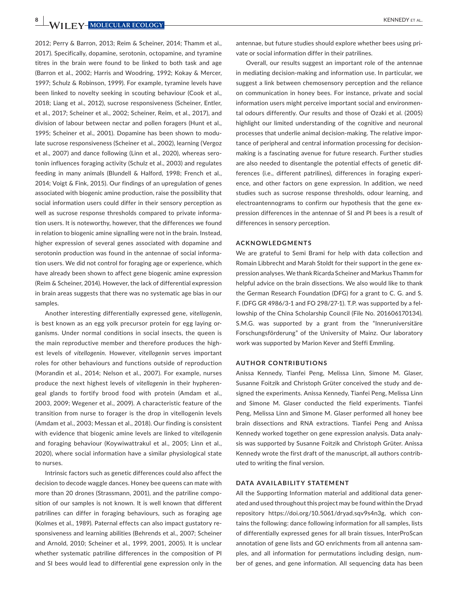**8 W**/II FV-MOLECULAR ECOLOGY

2012; Perry & Barron, 2013; Reim & Scheiner, 2014; Thamm et al., 2017). Specifically, dopamine, serotonin, octopamine, and tyramine titres in the brain were found to be linked to both task and age (Barron et al., 2002; Harris and Woodring, 1992; Kokay & Mercer, 1997; Schulz & Robinson, 1999). For example, tyramine levels have been linked to novelty seeking in scouting behaviour (Cook et al., 2018; Liang et al., 2012), sucrose responsiveness (Scheiner, Entler, et al., 2017; Scheiner et al., 2002; Scheiner, Reim, et al., 2017), and division of labour between nectar and pollen foragers (Hunt et al., 1995; Scheiner et al., 2001). Dopamine has been shown to modulate sucrose responsiveness (Scheiner et al., 2002), learning (Vergoz et al., 2007) and dance following (Linn et al., 2020), whereas serotonin influences foraging activity (Schulz et al., 2003) and regulates feeding in many animals (Blundell & Halford, 1998; French et al., 2014; Voigt & Fink, 2015). Our findings of an upregulation of genes associated with biogenic amine production, raise the possibility that social information users could differ in their sensory perception as well as sucrose response thresholds compared to private information users. It is noteworthy, however, that the differences we found in relation to biogenic amine signalling were not in the brain. Instead, higher expression of several genes associated with dopamine and serotonin production was found in the antennae of social information users. We did not control for foraging age or experience, which have already been shown to affect gene biogenic amine expression (Reim & Scheiner, 2014). However, the lack of differential expression in brain areas suggests that there was no systematic age bias in our samples.

Another interesting differentially expressed gene, *vitellogenin*, is best known as an egg yolk precursor protein for egg laying organisms. Under normal conditions in social insects, the queen is the main reproductive member and therefore produces the highest levels of *vitellogenin*. However, *vitellogenin* serves important roles for other behaviours and functions outside of reproduction (Morandin et al., 2014; Nelson et al., 2007). For example, nurses produce the next highest levels of *vitellogenin* in their hypherengeal glands to fortify brood food with protein (Amdam et al., 2003, 2009; Wegener et al., 2009). A characteristic feature of the transition from nurse to forager is the drop in vitellogenin levels (Amdam et al., 2003; Messan et al., 2018). Our finding is consistent with evidence that biogenic amine levels are linked to *vitellogenin* and foraging behaviour (Koywiwattrakul et al., 2005; Linn et al., 2020), where social information have a similar physiological state to nurses.

Intrinsic factors such as genetic differences could also affect the decision to decode waggle dances. Honey bee queens can mate with more than 20 drones (Strassmann, 2001), and the patriline composition of our samples is not known. It is well known that different patrilines can differ in foraging behaviours, such as foraging age (Kolmes et al., 1989). Paternal effects can also impact gustatory responsiveness and learning abilities (Behrends et al., 2007; Scheiner and Arnold, 2010; Scheiner et al., 1999, 2001, 2005). It is unclear whether systematic patriline differences in the composition of PI and SI bees would lead to differential gene expression only in the

antennae, but future studies should explore whether bees using private or social information differ in their patrilines.

Overall, our results suggest an important role of the antennae in mediating decision-making and information use. In particular, we suggest a link between chemosensory perception and the reliance on communication in honey bees. For instance, private and social information users might perceive important social and environmental odours differently. Our results and those of Ozaki et al. (2005) highlight our limited understanding of the cognitive and neuronal processes that underlie animal decision-making. The relative importance of peripheral and central information processing for decisionmaking is a fascinating avenue for future research. Further studies are also needed to disentangle the potential effects of genetic differences (i.e., different patrilines), differences in foraging experience, and other factors on gene expression. In addition, we need studies such as sucrose response thresholds, odour learning, and electroantennograms to confirm our hypothesis that the gene expression differences in the antennae of SI and PI bees is a result of differences in sensory perception.

#### **ACKNOWLEDGMENTS**

We are grateful to Semi Brami for help with data collection and Romain Libbrecht and Marah Stoldt for their support in the gene expression analyses. We thank Ricarda Scheiner and Markus Thamm for helpful advice on the brain dissections. We also would like to thank the German Research Foundation (DFG) for a grant to C. G. and S. F. (DFG GR 4986/3-1 and FO 298/27-1). T.P. was supported by a fellowship of the China Scholarship Council (File No. 201606170134). S.M.G. was supported by a grant from the "Inneruniversitäre Forschungsförderung" of the University of Mainz. Our laboratory work was supported by Marion Kever and Steffi Emmling.

#### **AUTHOR CONTRIBUTIONS**

Anissa Kennedy, Tianfei Peng, Melissa Linn, Simone M. Glaser, Susanne Foitzik and Christoph Grüter conceived the study and designed the experiments. Anissa Kennedy, Tianfei Peng, Melissa Linn and Simone M. Glaser conducted the field experiments. Tianfei Peng, Melissa Linn and Simone M. Glaser performed all honey bee brain dissections and RNA extractions. Tianfei Peng and Anissa Kennedy worked together on gene expression analysis. Data analysis was supported by Susanne Foitzik and Christoph Grüter. Anissa Kennedy wrote the first draft of the manuscript, all authors contributed to writing the final version.

#### **DATA AVAILABILITY STATEMENT**

All the Supporting Information material and additional data generated and used throughout this project may be found within the Dryad repository <https://doi.org/10.5061/dryad.sqv9s4n3g>, which contains the following: dance following information for all samples, lists of differentially expressed genes for all brain tissues, InterProScan annotation of gene lists and GO enrichments from all antenna samples, and all information for permutations including design, number of genes, and gene information. All sequencing data has been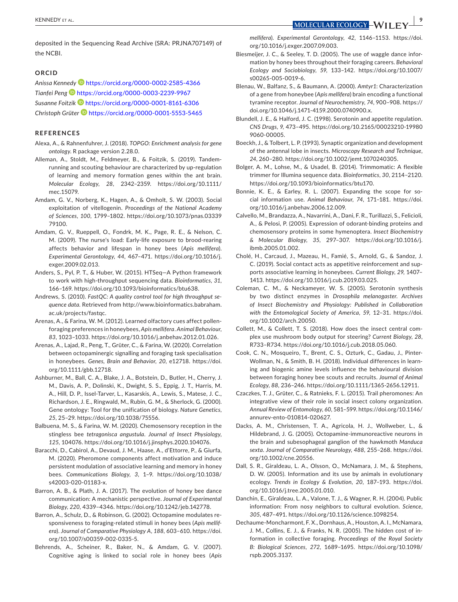$\times$  **KENNEDY** et al. **We are the set of the set of the set of the set of the set of the set of the set of the set of the set of the set of the set of the set of the set of the set of the set of the set of the set of the** 

deposited in the Sequencing Read Archive (SRA: [P](info:x-wiley/peptideatlas/P)[RJNA707149](info:x-wiley/peptideatlas/RJNA707149)) of the NCBI.

## **ORCID**

*Anissa Kenned[y](https://orcid.org/0000-0002-2585-4366)* <https://orcid.org/0000-0002-2585-4366> *Tianfei Peng* <https://orcid.org/0000-0003-2239-9967> *Susanne Foitzik* <https://orcid.org/0000-0001-8161-6306> *Christoph Grüter* <https://orcid.org/0000-0001-5553-5465>

#### **REFERENCES**

- Alexa, A., & Rahnenfuhrer, J. (2018). *TOPGO: Enrichment analysis for gene ontology*. R package version 2.28.0.
- Alleman, A., Stoldt, M., Feldmeyer, B., & Foitzik, S. (2019). Tandemrunning and scouting behaviour are characterized by up-regulation of learning and memory formation genes within the ant brain. *Molecular Ecology*, *28*, 2342–2359. [https://doi.org/10.1111/](https://doi.org/10.1111/mec.15079) [mec.15079.](https://doi.org/10.1111/mec.15079)
- Amdam, G. V., Norberg, K., Hagen, A., & Omholt, S. W. (2003). Social exploitation of vitellogenin. *Proceedings of the National Academy of Sciences*, *100*, 1799–1802. [https://doi.org/10.1073/pnas.03339](https://doi.org/10.1073/pnas.0333979100) [79100.](https://doi.org/10.1073/pnas.0333979100)
- Amdam, G. V., Rueppell, O., Fondrk, M. K., Page, R. E., & Nelson, C. M. (2009). The nurse's load: Early-life exposure to brood-rearing affects behavior and lifespan in honey bees (*Apis mellifera*). *Experimental Gerontology*, *44*, 467–471. [https://doi.org/10.1016/j.](https://doi.org/10.1016/j.exger.2009.02.013) [exger.2009.02.013.](https://doi.org/10.1016/j.exger.2009.02.013)
- Anders, S., Pyl, P. T., & Huber, W. (2015). HTSeq—A Python framework to work with high-throughput sequencing data. *Bioinformatics*, *31*, 166–169. <https://doi.org/10.1093/bioinformatics/btu638>.
- Andrews, S. (2010). *FastQC: A quality control tool for high throughput sequence data*. Retrieved from [http://www.bioinformatics.babraham.](http://www.bioinformatics.babraham.ac.uk/projects/fastqc) [ac.uk/projects/fastqc.](http://www.bioinformatics.babraham.ac.uk/projects/fastqc)
- Arenas, A., & Farina, W. M. (2012). Learned olfactory cues affect pollenforaging preferences in honeybees, *Apis mellifera*. *Animal Behaviour*, *83*, 1023–1033. [https://doi.org/10.1016/j.anbehav.2012.01.026.](https://doi.org/10.1016/j.anbehav.2012.01.026)
- Arenas, A., Lajad, R., Peng, T., Grüter, C., & Farina, W. (2020). Correlation between octopaminergic signalling and foraging task specialisation in honeybees. *Genes, Brain and Behavior*, *20*, e12718. [https://doi.](https://doi.org/10.1111/gbb.12718) [org/10.1111/gbb.12718.](https://doi.org/10.1111/gbb.12718)
- Ashburner, M., Ball, C. A., Blake, J. A., Botstein, D., Butler, H., Cherry, J. M., Davis, A. P., Dolinski, K., Dwight, S. S., Eppig, J. T., Harris, M. A., Hill, D. P., Issel-Tarver, L., Kasarskis, A., Lewis, S., Matese, J. C., Richardson, J. E., Ringwald, M., Rubin, G. M., & Sherlock, G. (2000). Gene ontology: Tool for the unification of biology. *Nature Genetics*, *25*, 25–29.<https://doi.org/10.1038/75556>.
- Balbuena, M. S., & Farina, W. M. (2020). Chemosensory reception in the stingless bee *tetragonisca angustula*. *Journal of Insect Physiology*, *125*, 104076. [https://doi.org/10.1016/j.jinsphys.2020.104076.](https://doi.org/10.1016/j.jinsphys.2020.104076)
- Baracchi, D., Cabirol, A., Devaud, J. M., Haase, A., d'Ettorre, P., & Giurfa, M. (2020). Pheromone components affect motivation and induce persistent modulation of associative learning and memory in honey bees. *Communications Biology*, *3*, 1–9. [https://doi.org/10.1038/](https://doi.org/10.1038/s42003-020-01183-x) [s42003-020-01183-x.](https://doi.org/10.1038/s42003-020-01183-x)
- Barron, A. B., & Plath, J. A. (2017). The evolution of honey bee dance communication: A mechanistic perspective. *Journal of Experimental Biology*, *220*, 4339–4346. [https://doi.org/10.1242/jeb.142778.](https://doi.org/10.1242/jeb.142778)
- Barron, A., Schulz, D., & Robinson, G. (2002). Octopamine modulates responsiveness to foraging-related stimuli in honey bees (*Apis mellifera*). *Journal of Comparative Physiology A*, *188*, 603–610. [https://doi.](https://doi.org/10.1007/s00359-002-0335-5) [org/10.1007/s00359-002-0335-5.](https://doi.org/10.1007/s00359-002-0335-5)
- Behrends, A., Scheiner, R., Baker, N., & Amdam, G. V. (2007). Cognitive aging is linked to social role in honey bees (*Apis*

*mellifera*). *Experimental Gerontology*, *42*, 1146–1153. [https://doi.](https://doi.org/10.1016/j.exger.2007.09.003) [org/10.1016/j.exger.2007.09.003.](https://doi.org/10.1016/j.exger.2007.09.003)

- Biesmeijer, J. C., & Seeley, T. D. (2005). The use of waggle dance information by honey bees throughout their foraging careers. *Behavioral Ecology and Sociobiology*, *59*, 133–142. [https://doi.org/10.1007/](https://doi.org/10.1007/s00265-005-0019-6) [s00265-005-0019-6](https://doi.org/10.1007/s00265-005-0019-6).
- Blenau, W., Balfanz, S., & Baumann, A. (2000). *Amtyr1*: Characterization of a gene from honeybee (*Apis mellifera*) brain encoding a functional tyramine receptor. *Journal of Neurochemistry*, *74*, 900–908. [https://](https://doi.org/10.1046/j.1471-4159.2000.0740900.x) [doi.org/10.1046/j.1471-4159.2000.0740900.x](https://doi.org/10.1046/j.1471-4159.2000.0740900.x).
- Blundell, J. E., & Halford, J. C. (1998). Serotonin and appetite regulation. *CNS Drugs*, *9*, 473–495. [https://doi.org/10.2165/00023210-19980](https://doi.org/10.2165/00023210-199809060-00005) [9060-00005](https://doi.org/10.2165/00023210-199809060-00005).
- Boeckh, J., & Tolbert, L. P. (1993). Synaptic organization and development of the antennal lobe in insects. *Microscopy Research and Technique*, *24*, 260–280.<https://doi.org/10.1002/jemt.1070240305>.
- Bolger, A. M., Lohse, M., & Usadel, B. (2014). Trimmomatic: A flexible trimmer for Illumina sequence data. *Bioinformatics*, *30*, 2114–2120. [https://doi.org/10.1093/bioinformatics/btu170.](https://doi.org/10.1093/bioinformatics/btu170)
- Bonnie, K. E., & Earley, R. L. (2007). Expanding the scope for social information use. *Animal Behaviour*, *74*, 171–181. [https://doi.](https://doi.org/10.1016/j.anbehav.2006.12.009) [org/10.1016/j.anbehav.2006.12.009.](https://doi.org/10.1016/j.anbehav.2006.12.009)
- Calvello, M., Brandazza, A., Navarrini, A., Dani, F. R., Turillazzi, S., Felicioli, A., & Pelosi, P. (2005). Expression of odorant-binding proteins and chemosensory proteins in some hymenoptera. *Insect Biochemistry & Molecular Biology*, *35*, 297–307. [https://doi.org/10.1016/j.](https://doi.org/10.1016/j.ibmb.2005.01.002) [ibmb.2005.01.002](https://doi.org/10.1016/j.ibmb.2005.01.002).
- Cholé, H., Carcaud, J., Mazeau, H., Famié, S., Arnold, G., & Sandoz, J. C. (2019). Social contact acts as appetitive reinforcement and supports associative learning in honeybees. *Current Biology*, *29*, 1407– 1413. <https://doi.org/10.1016/j.cub.2019.03.025>.
- Coleman, C. M., & Neckameyer, W. S. (2005). Serotonin synthesis by two distinct enzymes in *Drosophila melanogaster*. *Archives of Insect Biochemistry and Physiology: Published in Collaboration with the Entomological Society of America*, *59*, 12–31. [https://doi.](https://doi.org/10.1002/arch.20050) [org/10.1002/arch.20050](https://doi.org/10.1002/arch.20050).
- Collett, M., & Collett, T. S. (2018). How does the insect central complex use mushroom body output for steering? *Current Biology*, *28*, R733–R734. <https://doi.org/10.1016/j.cub.2018.05.060>.
- Cook, C. N., Mosqueiro, T., Brent, C. S., Ozturk, C., Gadau, J., Pinter-Wollman, N., & Smith, B. H. (2018). Individual differences in learning and biogenic amine levels influence the behavioural division between foraging honey bee scouts and recruits. *Journal of Animal Ecology*, *88*, 236–246.<https://doi.org/10.1111/1365-2656.12911>.
- Czaczkes, T. J., Grüter, C., & Ratnieks, F. L. (2015). Trail pheromones: An integrative view of their role in social insect colony organization. *Annual Review of Entomology*, *60*, 581–599. [https://doi.org/10.1146/](https://doi.org/10.1146/annurev-ento-010814-020627) [annurev-ento-010814-020627.](https://doi.org/10.1146/annurev-ento-010814-020627)
- Dacks, A. M., Christensen, T. A., Agricola, H. J., Wollweber, L., & Hildebrand, J. G. (2005). Octopamine-immunoreactive neurons in the brain and subesophageal ganglion of the hawkmoth *Manduca sexta*. *Journal of Comparative Neurology*, *488*, 255–268. [https://doi.](https://doi.org/10.1002/cne.20556) [org/10.1002/cne.20556.](https://doi.org/10.1002/cne.20556)
- Dall, S. R., Giraldeau, L. A., Olsson, O., McNamara, J. M., & Stephens, D. W. (2005). Information and its use by animals in evolutionary ecology. *Trends in Ecology & Evolution*, *20*, 187–193. [https://doi.](https://doi.org/10.1016/j.tree.2005.01.010) [org/10.1016/j.tree.2005.01.010.](https://doi.org/10.1016/j.tree.2005.01.010)
- Danchin, E., Giraldeau, L. A., Valone, T. J., & Wagner, R. H. (2004). Public information: From nosy neighbors to cultural evolution. *Science*, *305*, 487–491.<https://doi.org/10.1126/science.1098254>.
- Dechaume-Moncharmont, F. X., Dornhaus, A., Houston, A. I., McNamara, J. M., Collins, E. J., & Franks, N. R. (2005). The hidden cost of information in collective foraging. *Proceedings of the Royal Society B: Biological Sciences*, *272*, 1689–1695. [https://doi.org/10.1098/](https://doi.org/10.1098/rspb.2005.3137) [rspb.2005.3137](https://doi.org/10.1098/rspb.2005.3137).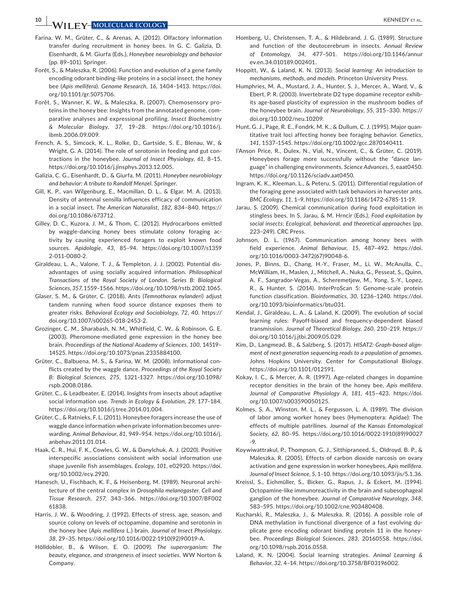**10 <sup>|</sup>**  KENNEDY et al.

- Farina, W. M., Grüter, C., & Arenas, A. (2012). Olfactory information transfer during recruitment in honey bees. In G. C. Galizia, D. Eisenhardt, & M. Giurfa (Eds.), *Honeybee neurobiology and behavior* (pp. 89–101). Springer.
- Forêt, S., & Maleszka, R. (2006). Function and evolution of a gene family encoding odorant binding-like proteins in a social insect, the honey bee (*Apis mellifera*). *Genome Research*, *16*, 1404–1413. [https://doi.](https://doi.org/10.1101/gr.5075706) [org/10.1101/gr.5075706.](https://doi.org/10.1101/gr.5075706)
- Forêt, S., Wanner, K. W., & Maleszka, R. (2007). Chemosensory proteins in the honey bee: Insights from the annotated genome, comparative analyses and expressional profiling. *Insect Biochemistry & Molecular Biology*, *37*, 19–28. [https://doi.org/10.1016/j.](https://doi.org/10.1016/j.ibmb.2006.09.009) [ibmb.2006.09.009.](https://doi.org/10.1016/j.ibmb.2006.09.009)
- French, A. S., Simcock, K. L., Rolke, D., Gartside, S. E., Blenau, W., & Wright, G. A. (2014). The role of serotonin in feeding and gut contractions in the honeybee. *Journal of Insect Physiology*, *61*, 8–15. <https://doi.org/10.1016/j.jinsphys.2013.12.005>.
- Galizia, C. G., Eisenhardt, D., & Giurfa, M. (2011). *Honeybee neurobiology and behavior: A tribute to Randolf Menzel*. Springer.
- Gill, K. P., van Wilgenburg, E., Macmillan, D. L., & Elgar, M. A. (2013). Density of antennal sensilla influences efficacy of communication in a social insect. *The American Naturalist*, *182*, 834–840. [https://](https://doi.org/10.1086/673712) [doi.org/10.1086/673712.](https://doi.org/10.1086/673712)
- Gilley, D. C., Kuzora, J. M., & Thom, C. (2012). Hydrocarbons emitted by waggle-dancing honey bees stimulate colony foraging activity by causing experienced foragers to exploit known food sources. *Apidologie*, *43*, 85–94. [https://doi.org/10.1007/s1359](https://doi.org/10.1007/s13592-011-0080-2) [2-011-0080-2.](https://doi.org/10.1007/s13592-011-0080-2)
- Giraldeau, L. A., Valone, T. J., & Templeton, J. J. (2002). Potential disadvantages of using socially acquired information. *Philosophical Transactions of the Royal Society of London. Series B: Biological Sciences*, *357*, 1559–1566. [https://doi.org/10.1098/rstb.2002.1065.](https://doi.org/10.1098/rstb.2002.1065)
- Glaser, S. M., & Grüter, C. (2018). Ants (*Temnothorax nylanderi*) adjust tandem running when food source distance exposes them to greater risks. *Behavioral Ecology and Sociobiology*, *72*, 40. [https://](https://doi.org/10.1007/s00265-018-2453-2) [doi.org/10.1007/s00265-018-2453-2.](https://doi.org/10.1007/s00265-018-2453-2)
- Grozinger, C. M., Sharabash, N. M., Whitfield, C. W., & Robinson, G. E. (2003). Pheromone-mediated gene expression in the honey bee brain. *Proceedings of the National Academy of Sciences*, *100*, 14519– 14525. <https://doi.org/10.1073/pnas.2335884100>.
- Grüter, C., Balbuena, M. S., & Farina, W. M. (2008). Informational conflicts created by the waggle dance. *Proceedings of the Royal Society B: Biological Sciences*, *275*, 1321–1327. [https://doi.org/10.1098/](https://doi.org/10.1098/rspb.2008.0186) [rspb.2008.0186](https://doi.org/10.1098/rspb.2008.0186).
- Grüter, C., & Leadbeater, E. (2014). Insights from insects about adaptive social information use. *Trends in Ecology & Evolution*, *29*, 177–184. [https://doi.org/10.1016/j.tree.2014.01.004.](https://doi.org/10.1016/j.tree.2014.01.004)
- Grüter, C., & Ratnieks, F. L. (2011). Honeybee foragers increase the use of waggle dance information when private information becomes unrewarding. *Animal Behaviour*, *81*, 949–954. [https://doi.org/10.1016/j.](https://doi.org/10.1016/j.anbehav.2011.01.014) [anbehav.2011.01.014](https://doi.org/10.1016/j.anbehav.2011.01.014).
- Haak, C. R., Hui, F. K., Cowles, G. W., & Danylchuk, A. J. (2020). Positive interspecific associations consistent with social information use shape juvenile fish assemblages. *Ecology*, *101*, e02920. [https://doi.](https://doi.org/10.1002/ecy.2920) [org/10.1002/ecy.2920.](https://doi.org/10.1002/ecy.2920)
- Hanesch, U., Fischbach, K. F., & Heisenberg, M. (1989). Neuronal architecture of the central complex in *Drosophila melanogaster*. *Cell and Tissue Research*, *257*, 343–366. [https://doi.org/10.1007/BF002](https://doi.org/10.1007/BF00261838) [61838.](https://doi.org/10.1007/BF00261838)
- Harris, J. W., & Woodring, J. (1992). Effects of stress, age, season, and source colony on levels of octopamine, dopamine and serotonin in the honey bee (*Apis mellifera* L.) brain. *Journal of Insect Physiology*, *38*, 29–35. [https://doi.org/10.1016/0022-1910\(92\)90019-A](https://doi.org/10.1016/0022-1910(92)90019-A).
- Hölldobler, B., & Wilson, E. O. (2009). *The superorganism: The beauty, elegance, and strangeness of insect societies*. WW Norton & Company.
- Homberg, U., Christensen, T. A., & Hildebrand, J. G. (1989). Structure and function of the deutocerebrum in insects. *Annual Review of Entomology*, *34*, 477–501. [https://doi.org/10.1146/annur](https://doi.org/10.1146/annurev.en.34.010189.002401) [ev.en.34.010189.002401.](https://doi.org/10.1146/annurev.en.34.010189.002401)
- Hoppitt, W., & Laland, K. N. (2013). *Social learning: An introduction to mechanisms, methods, and models*. Princeton University Press.
- Humphries, M. A., Mustard, J. A., Hunter, S. J., Mercer, A., Ward, V., & Ebert, P. R. (2003). Invertebrate D2 type dopamine receptor exhibits age-based plasticity of expression in the mushroom bodies of the honeybee brain. *Journal of Neurobiology*, *55*, 315–330. [https://](https://doi.org/10.1002/neu.10209) [doi.org/10.1002/neu.10209](https://doi.org/10.1002/neu.10209).
- Hunt, G. J., Page, R. E., Fondrk, M. K., & Dullum, C. J. (1995). Major quantitative trait loci affecting honey bee foraging behavior. *Genetics*, *141*, 1537–1545. <https://doi.org/10.1002/gcc.2870140411>.
- I'Anson Price, R., Dulex, N., Vial, N., Vincent, C., & Grüter, C. (2019). Honeybees forage more successfully without the "dance language" in challenging environments. *Science Advances*, *5*, eaat0450. <https://doi.org/10.1126/sciadv.aat0450>.
- Ingram, K. K., Kleeman, L., & Peteru, S. (2011). Differential regulation of the foraging gene associated with task behaviors in harvester ants. *BMC Ecology*, *11*, 1–9.<https://doi.org/10.1186/1472-6785-11-19>.
- Jarau, S. (2009). Chemical communication during food exploitation in stingless bees. In S. Jarau, & M. Hrncir (Eds.), *Food exploitation by social insects: Ecological, behavioral, and theoretical approaches* (pp. 223–249). CRC Press.
- Johnson, D. L. (1967). Communication among honey bees with field experience. *Animal Behaviour*, *15*, 487–492. [https://doi.](https://doi.org/10.1016/0003-3472(67)90048-6) [org/10.1016/0003-3472\(67\)90048-6](https://doi.org/10.1016/0003-3472(67)90048-6).
- Jones, P., Binns, D., Chang, H.-Y., Fraser, M., Li, W., McAnulla, C., McWilliam, H., Maslen, J., Mitchell, A., Nuka, G., Pesseat, S., Quinn, A. F., Sangrador-Vegas, A., Scheremetjew, M., Yong, S.-Y., Lopez, R., & Hunter, S. (2014). InterProScan 5: Genome-scale protein function classification. *Bioinformatics*, *30*, 1236–1240. [https://doi.](https://doi.org/10.1093/bioinformatics/btu031) [org/10.1093/bioinformatics/btu031.](https://doi.org/10.1093/bioinformatics/btu031)
- Kendal, J., Giraldeau, L. A., & Laland, K. (2009). The evolution of social learning rules: Payoff-biased and frequency-dependent biased transmission. *Journal of Theoretical Biology*, *260*, 210–219. [https://](https://doi.org/10.1016/j.jtbi.2009.05.029) [doi.org/10.1016/j.jtbi.2009.05.029.](https://doi.org/10.1016/j.jtbi.2009.05.029)
- Kim, D., Langmead, B., & Salzberg, S. (2017). *HISAT2: Graph-based alignment of next-generation sequencing reads to a population of genomes*. Johns Hopkins University. Center for Computational Biology. <https://doi.org/10.1101/012591>.
- Kokay, I. C., & Mercer, A. R. (1997). Age-related changes in dopamine receptor densities in the brain of the honey bee, *Apis mellifera*. *Journal of Comparative Physiology A*, *181*, 415–423. [https://doi.](https://doi.org/10.1007/s003590050125) [org/10.1007/s003590050125.](https://doi.org/10.1007/s003590050125)
- Kolmes, S. A., Winston, M. L., & Fergusson, L. A. (1989). The division of labor among worker honey bees (Hymenoptera: Apidae): The effects of multiple patrilines. *Journal of the Kansas Entomological Society*, *62*, 80–95. [https://doi.org/10.1016/0022-1910\(89\)90027](https://doi.org/10.1016/0022-1910(89)90027-9) [-9](https://doi.org/10.1016/0022-1910(89)90027-9).
- Koywiwattrakul, P., Thompson, G. J., Sitthipraneed, S., Oldroyd, B. P., & Maleszka, R. (2005). Effects of carbon dioxide narcosis on ovary activation and gene expression in worker honeybees, *Apis mellifera*. *Journal of Insect Science*, *5*, 1–10. [https://doi.org/10.1093/jis/5.1.36.](https://doi.org/10.1093/jis/5.1.36)
- Kreissl, S., Eichmüller, S., Bicker, G., Rapus, J., & Eckert, M. (1994). Octopamine-like immunoreactivity in the brain and subesophageal ganglion of the honeybee. *Journal of Comparative Neurology*, *348*, 583–595. <https://doi.org/10.1002/cne.903480408>.
- Kucharski, R., Maleszka, J., & Maleszka, R. (2016). A possible role of DNA methylation in functional divergence of a fast evolving duplicate gene encoding odorant binding protein 11 in the honeybee. *Proceedings Biological Sciences*, *283*, 20160558. [https://doi.](https://doi.org/10.1098/rspb.2016.0558) [org/10.1098/rspb.2016.0558.](https://doi.org/10.1098/rspb.2016.0558)
- Laland, K. N. (2004). Social learning strategies. *Animal Learning & Behavior*, *32*, 4–14. [https://doi.org/10.3758/BF03196002.](https://doi.org/10.3758/BF03196002)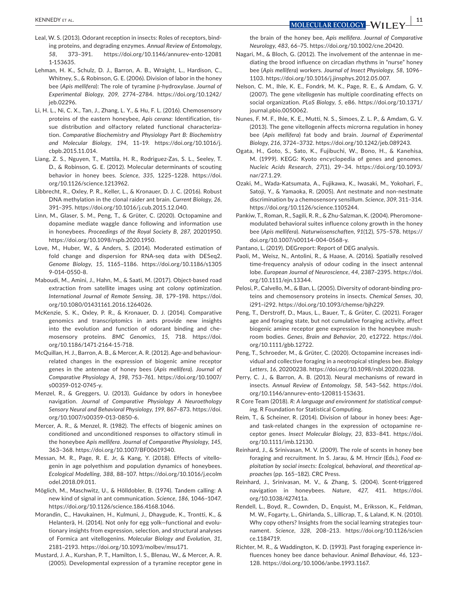- Leal, W. S. (2013). Odorant reception in insects: Roles of receptors, binding proteins, and degrading enzymes. *Annual Review of Entomology*, *58*, 373–391. [https://doi.org/10.1146/annurev-ento-12081](https://doi.org/10.1146/annurev-ento-120811-153635) [1-153635](https://doi.org/10.1146/annurev-ento-120811-153635).
- Lehman, H. K., Schulz, D. J., Barron, A. B., Wraight, L., Hardison, C., Whitney, S., & Robinson, G. E. (2006). Division of labor in the honey bee (*Apis mellifera*): The role of tyramine β-hydroxylase. *Journal of Experimental Biology*, *209*, 2774–2784. [https://doi.org/10.1242/](https://doi.org/10.1242/jeb.02296) [jeb.02296.](https://doi.org/10.1242/jeb.02296)
- Li, H. L., Ni, C. X., Tan, J., Zhang, L. Y., & Hu, F. L. (2016). Chemosensory proteins of the eastern honeybee, *Apis cerana*: Identification, tissue distribution and olfactory related functional characterization. *Comparative Biochemistry and Physiology Part B: Biochemistry and Molecular Biology*, *194*, 11–19. [https://doi.org/10.1016/j.](https://doi.org/10.1016/j.cbpb.2015.11.014) [cbpb.2015.11.014](https://doi.org/10.1016/j.cbpb.2015.11.014).
- Liang, Z. S., Nguyen, T., Mattila, H. R., Rodriguez-Zas, S. L., Seeley, T. D., & Robinson, G. E. (2012). Molecular determinants of scouting behavior in honey bees. *Science*, *335*, 1225–1228. [https://doi.](https://doi.org/10.1126/science.1213962) [org/10.1126/science.1213962](https://doi.org/10.1126/science.1213962).
- Libbrecht, R., Oxley, P. R., Keller, L., & Kronauer, D. J. C. (2016). Robust DNA methylation in the clonal raider ant brain. *Current Biology*, *26*, 391–395. [https://doi.org/10.1016/j.cub.2015.12.040.](https://doi.org/10.1016/j.cub.2015.12.040)
- Linn, M., Glaser, S. M., Peng, T., & Grüter, C. (2020). Octopamine and dopamine mediate waggle dance following and information use in honeybees. *Proceedings of the Royal Society B*, *287*, 20201950. [https://doi.org/10.1098/rspb.2020.1950.](https://doi.org/10.1098/rspb.2020.1950)
- Love, M., Huber, W., & Anders, S. (2014). Moderated estimation of fold change and dispersion for RNA-seq data with DESeq2. *Genome Biology*, *15*, 1165–1186. [https://doi.org/10.1186/s1305](https://doi.org/10.1186/s13059-014-0550-8) [9-014-0550-8](https://doi.org/10.1186/s13059-014-0550-8).
- Maboudi, M., Amini, J., Hahn, M., & Saati, M. (2017). Object-based road extraction from satellite images using ant colony optimization. *International Journal of Remote Sensing*, *38*, 179–198. [https://doi.](https://doi.org/10.1080/01431161.2016.1264026) [org/10.1080/01431161.2016.1264026](https://doi.org/10.1080/01431161.2016.1264026).
- McKenzie, S. K., Oxley, P. R., & Kronauer, D. J. (2014). Comparative genomics and transcriptomics in ants provide new insights into the evolution and function of odorant binding and chemosensory proteins. *BMC Genomics*, *15*, 718. [https://doi.](https://doi.org/10.1186/1471-2164-15-718) [org/10.1186/1471-2164-15-718](https://doi.org/10.1186/1471-2164-15-718).
- McQuillan, H. J., Barron, A. B., & Mercer, A. R. (2012). Age-and behaviourrelated changes in the expression of biogenic amine receptor genes in the antennae of honey bees (*Apis mellifera*). *Journal of Comparative Physiology A*, *198*, 753–761. [https://doi.org/10.1007/](https://doi.org/10.1007/s00359-012-0745-y) [s00359-012-0745-y.](https://doi.org/10.1007/s00359-012-0745-y)
- Menzel, R., & Greggers, U. (2013). Guidance by odors in honeybee navigation. *Journal of Comparative Physiology A Neuroethology Sensory Neural and Behavioral Physiology*, *199*, 867–873. [https://doi.](https://doi.org/10.1007/s00359-013-0850-6) [org/10.1007/s00359-013-0850-6](https://doi.org/10.1007/s00359-013-0850-6).
- Mercer, A. R., & Menzel, R. (1982). The effects of biogenic amines on conditioned and unconditioned responses to olfactory stimuli in the honeybee *Apis mellifera*. *Journal of Comparative Physiology*, *145*, 363–368.<https://doi.org/10.1007/BF00619340>.
- Messan, M. R., Page, R. E. Jr, & Kang, Y. (2018). Effects of vitellogenin in age polyethism and population dynamics of honeybees. *Ecological Modelling*, *388*, 88–107. [https://doi.org/10.1016/j.ecolm](https://doi.org/10.1016/j.ecolmodel.2018.09.011) [odel.2018.09.011](https://doi.org/10.1016/j.ecolmodel.2018.09.011).
- Möglich, M., Maschwitz, U., & Hölldobler, B. (1974). Tandem calling: A new kind of signal in ant communication. *Science*, *186*, 1046–1047. [https://doi.org/10.1126/science.186.4168.1046.](https://doi.org/10.1126/science.186.4168.1046)
- Morandin, C., Havukainen, H., Kulmuni, J., Dhaygude, K., Trontti, K., & Helanterä, H. (2014). Not only for egg yolk—functional and evolutionary insights from expression, selection, and structural analyses of Formica ant vitellogenins. *Molecular Biology and Evolution*, *31*, 2181–2193.<https://doi.org/10.1093/molbev/msu171>.
- Mustard, J. A., Kurshan, P. T., Hamilton, I. S., Blenau, W., & Mercer, A. R. (2005). Developmental expression of a tyramine receptor gene in

the brain of the honey bee, *Apis mellifera*. *Journal of Comparative Neurology*, *483*, 66–75. <https://doi.org/10.1002/cne.20420>.

- Nagari, M., & Bloch, G. (2012). The involvement of the antennae in mediating the brood influence on circadian rhythms in "nurse" honey bee (*Apis mellifera*) workers. *Journal of Insect Physiology*, *58*, 1096– 1103. [https://doi.org/10.1016/j.jinsphys.2012.05.007.](https://doi.org/10.1016/j.jinsphys.2012.05.007)
- Nelson, C. M., Ihle, K. E., Fondrk, M. K., Page, R. E., & Amdam, G. V. (2007). The gene *vitellogenin* has multiple coordinating effects on social organization. *PLoS Biology*, *5*, e86. [https://doi.org/10.1371/](https://doi.org/10.1371/journal.pbio.0050062) [journal.pbio.0050062.](https://doi.org/10.1371/journal.pbio.0050062)
- Nunes, F. M. F., Ihle, K. E., Mutti, N. S., Simoes, Z. L. P., & Amdam, G. V. (2013). The gene vitellogenin affects microrna regulation in honey bee (*Apis mellifera*) fat body and brain. *Journal of Experimental Biology*, *216*, 3724–3732. <https://doi.org/10.1242/jeb.089243>.
- Ogata, H., Goto, S., Sato, K., Fujibuchi, W., Bono, H., & Kanehisa, M. (1999). KEGG: Kyoto encyclopedia of genes and genomes. *Nucleic Acids Research*, *27*(1), 29–34. [https://doi.org/10.1093/](https://doi.org/10.1093/nar/27.1.29) [nar/27.1.29](https://doi.org/10.1093/nar/27.1.29).
- Ozaki, M., Wada-Katsumata, A., Fujikawa, K., Iwasaki, M., Yokohari, F., Satoji, Y., & Yamaoka, R. (2005). Ant nestmate and non-nestmate discrimination by a chemosensory sensillum. *Science*, *309*, 311–314. <https://doi.org/10.1126/science.1105244>.
- Pankiw, T., Roman, R., Sagili, R. R., & Zhu-Salzman, K. (2004). Pheromonemodulated behavioral suites influence colony growth in the honey bee (*Apis mellifera*). *Naturwissenschaften*, *91*(12), 575–578. [https://](https://doi.org/10.1007/s00114-004-0568-y) [doi.org/10.1007/s00114-004-0568-y.](https://doi.org/10.1007/s00114-004-0568-y)
- Pantano, L. (2019). DEGreport: Report of DEG analysis.
- Paoli, M., Weisz, N., Antolini, R., & Haase, A. (2016). Spatially resolved time-frequency analysis of odour coding in the insect antennal lobe. *European Journal of Neuroscience*, *44*, 2387–2395. [https://doi.](https://doi.org/10.1111/ejn.13344) [org/10.1111/ejn.13344](https://doi.org/10.1111/ejn.13344).
- Pelosi, P., Calvello, M., & Ban, L. (2005). Diversity of odorant-binding proteins and chemosensory proteins in insects. *Chemical Senses*, *30*, i291–i292.<https://doi.org/10.1093/chemse/bjh229>.
- Peng, T., Derstroff, D., Maus, L., Bauer, T., & Grüter, C. (2021). Forager age and foraging state, but not cumulative foraging activity, affect biogenic amine receptor gene expression in the honeybee mushroom bodies. *Genes, Brain and Behavior*, *20*, e12722. [https://doi.](https://doi.org/10.1111/gbb.12722) [org/10.1111/gbb.12722](https://doi.org/10.1111/gbb.12722).
- Peng, T., Schroeder, M., & Grüter, C. (2020). Octopamine increases individual and collective foraging in a neotropical stingless bee. *Biology Letters*, *16*, 20200238.<https://doi.org/10.1098/rsbl.2020.0238>.
- Perry, C. J., & Barron, A. B. (2013). Neural mechanisms of reward in insects. *Annual Review of Entomology*, *58*, 543–562. [https://doi.](https://doi.org/10.1146/annurev-ento-120811-153631) [org/10.1146/annurev-ento-120811-153631.](https://doi.org/10.1146/annurev-ento-120811-153631)
- R Core Team (2018). *R: A language and environment for statistical computing*. R Foundation for Statistical Computing.
- Reim, T., & Scheiner, R. (2014). Division of labour in honey bees: Ageand task-related changes in the expression of octopamine receptor genes. *Insect Molecular Biology*, *23*, 833–841. [https://doi.](https://doi.org/10.1111/imb.12130) [org/10.1111/imb.12130](https://doi.org/10.1111/imb.12130).
- Reinhard, J., & Srinivasan, M. V. (2009). The role of scents in honey bee foraging and recruitment. In S. Jarau, & M. Hrncir (Eds.), *Food exploitation by social insects: Ecological, behavioral, and theoretical approaches* (pp. 165–182). CRC Press.
- Reinhard, J., Srinivasan, M. V., & Zhang, S. (2004). Scent-triggered navigation in honeybees. *Nature*, *427*, 411. [https://doi.](https://doi.org/10.1038/427411a) [org/10.1038/427411a.](https://doi.org/10.1038/427411a)
- Rendell, L., Boyd, R., Cownden, D., Enquist, M., Eriksson, K., Feldman, M. W., Fogarty, L., Ghirlanda, S., Lillicrap, T., & Laland, K. N. (2010). Why copy others? Insights from the social learning strategies tournament. *Science*, *328*, 208–213. [https://doi.org/10.1126/scien](https://doi.org/10.1126/science.1184719) [ce.1184719.](https://doi.org/10.1126/science.1184719)
- Richter, M. R., & Waddington, K. D. (1993). Past foraging experience influences honey bee dance behaviour. *Animal Behaviour*, *46*, 123– 128. <https://doi.org/10.1006/anbe.1993.1167>.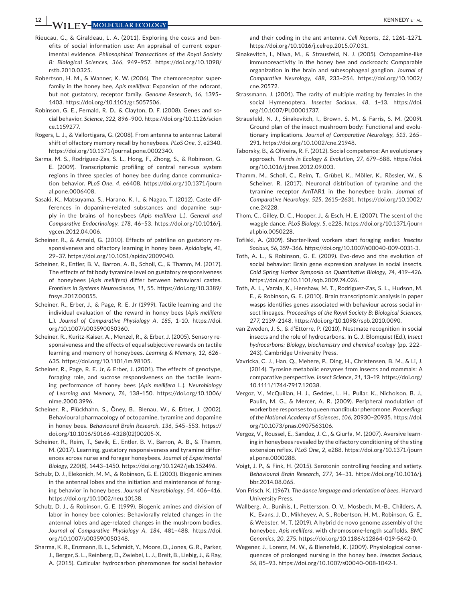**12 <sup>|</sup>**  KENNEDY et al.

- Rieucau, G., & Giraldeau, L. A. (2011). Exploring the costs and benefits of social information use: An appraisal of current experimental evidence. *Philosophical Transactions of the Royal Society B: Biological Sciences*, *366*, 949–957. [https://doi.org/10.1098/](https://doi.org/10.1098/rstb.2010.0325) [rstb.2010.0325.](https://doi.org/10.1098/rstb.2010.0325)
- Robertson, H. M., & Wanner, K. W. (2006). The chemoreceptor superfamily in the honey bee, *Apis mellifera*: Expansion of the odorant, but not gustatory, receptor family. *Genome Research*, *16*, 1395– 1403. [https://doi.org/10.1101/gr.5057506.](https://doi.org/10.1101/gr.5057506)
- Robinson, G. E., Fernald, R. D., & Clayton, D. F. (2008). Genes and social behavior. *Science*, *322*, 896–900. [https://doi.org/10.1126/scien](https://doi.org/10.1126/science.1159277) [ce.1159277.](https://doi.org/10.1126/science.1159277)
- Rogers, L. J., & Vallortigara, G. (2008). From antenna to antenna: Lateral shift of olfactory memory recall by honeybees. *PLoS One*, *3*, e2340. [https://doi.org/10.1371/journal.pone.0002340.](https://doi.org/10.1371/journal.pone.0002340)
- Sarma, M. S., Rodriguez-Zas, S. L., Hong, F., Zhong, S., & Robinson, G. E. (2009). Transcriptomic profiling of central nervous system regions in three species of honey bee during dance communication behavior. *PLoS One*, *4*, e6408. [https://doi.org/10.1371/journ](https://doi.org/10.1371/journal.pone.0006408) [al.pone.0006408.](https://doi.org/10.1371/journal.pone.0006408)
- Sasaki, K., Matsuyama, S., Harano, K. I., & Nagao, T. (2012). Caste differences in dopamine-related substances and dopamine supply in the brains of honeybees (*Apis mellifera* L.). *General and Comparative Endocrinology*, *178*, 46–53. [https://doi.org/10.1016/j.](https://doi.org/10.1016/j.ygcen.2012.04.006) [ygcen.2012.04.006](https://doi.org/10.1016/j.ygcen.2012.04.006).
- Scheiner, R., & Arnold, G. (2010). Effects of patriline on gustatory responsiveness and olfactory learning in honey bees. *Apidologie*, *41*, 29–37.<https://doi.org/10.1051/apido/2009040>.
- Scheiner, R., Entler, B. V., Barron, A. B., Scholl, C., & Thamm, M. (2017). The effects of fat body tyramine level on gustatory responsiveness of honeybees (*Apis mellifera*) differ between behavioral castes. *Frontiers in Systems Neuroscience*, *11*, 55. [https://doi.org/10.3389/](https://doi.org/10.3389/fnsys.2017.00055) [fnsys.2017.00055.](https://doi.org/10.3389/fnsys.2017.00055)
- Scheiner, R., Erber, J., & Page, R. E. Jr (1999). Tactile learning and the individual evaluation of the reward in honey bees (*Apis mellifera* L.). *Journal of Comparative Physiology A*, *185*, 1–10. [https://doi.](https://doi.org/10.1007/s003590050360) [org/10.1007/s003590050360](https://doi.org/10.1007/s003590050360).
- Scheiner, R., Kuritz-Kaiser, A., Menzel, R., & Erber, J. (2005). Sensory responsiveness and the effects of equal subjective rewards on tactile learning and memory of honeybees. *Learning & Memory*, *12*, 626– 635. [https://doi.org/10.1101/lm.98105.](https://doi.org/10.1101/lm.98105)
- Scheiner, R., Page, R. E. Jr, & Erber, J. (2001). The effects of genotype, foraging role, and sucrose responsiveness on the tactile learning performance of honey bees (*Apis mellifera* L.). *Neurobiology of Learning and Memory*, *76*, 138–150. [https://doi.org/10.1006/](https://doi.org/10.1006/nlme.2000.3996) [nlme.2000.3996](https://doi.org/10.1006/nlme.2000.3996).
- Scheiner, R., Plückhahn, S., Öney, B., Blenau, W., & Erber, J. (2002). Behavioural pharmacology of octopamine, tyramine and dopamine in honey bees. *Behavioural Brain Research*, *136*, 545–553. [https://](https://doi.org/10.1016/S0166-4328(02)00205-X) [doi.org/10.1016/S0166-4328\(02\)00205-X.](https://doi.org/10.1016/S0166-4328(02)00205-X)
- Scheiner, R., Reim, T., Søvik, E., Entler, B. V., Barron, A. B., & Thamm, M. (2017). Learning, gustatory responsiveness and tyramine differences across nurse and forager honeybees. *Journal of Experimental Biology*, *220*(8), 1443–1450. <https://doi.org/10.1242/jeb.152496>.
- Schulz, D. J., Elekonich, M. M., & Robinson, G. E. (2003). Biogenic amines in the antennal lobes and the initiation and maintenance of foraging behavior in honey bees. *Journal of Neurobiology*, *54*, 406–416. [https://doi.org/10.1002/neu.10138.](https://doi.org/10.1002/neu.10138)
- Schulz, D. J., & Robinson, G. E. (1999). Biogenic amines and division of labor in honey bee colonies: Behaviorally related changes in the antennal lobes and age-related changes in the mushroom bodies. *Journal of Comparative Physiology A*, *184*, 481–488. [https://doi.](https://doi.org/10.1007/s003590050348) [org/10.1007/s003590050348](https://doi.org/10.1007/s003590050348).
- Sharma, K. R., Enzmann, B. L., Schmidt, Y., Moore, D., Jones, G. R., Parker, J., Berger, S. L., Reinberg, D., Zwiebel, L. J., Breit, B., Liebig, J., & Ray, A. (2015). Cuticular hydrocarbon pheromones for social behavior

and their coding in the ant antenna. *Cell Reports*, *12*, 1261–1271. [https://doi.org/10.1016/j.celrep.2015.07.031.](https://doi.org/10.1016/j.celrep.2015.07.031)

- Sinakevitch, I., Niwa, M., & Strausfeld, N. J. (2005). Octopamine-like immunoreactivity in the honey bee and cockroach: Comparable organization in the brain and subesophageal ganglion. *Journal of Comparative Neurology*, *488*, 233–254. [https://doi.org/10.1002/](https://doi.org/10.1002/cne.20572) [cne.20572](https://doi.org/10.1002/cne.20572).
- Strassmann, J. (2001). The rarity of multiple mating by females in the social Hymenoptera. *Insectes Sociaux*, *48*, 1–13. [https://doi.](https://doi.org/10.1007/PL00001737) [org/10.1007/PL00001737.](https://doi.org/10.1007/PL00001737)
- Strausfeld, N. J., Sinakevitch, I., Brown, S. M., & Farris, S. M. (2009). Ground plan of the insect mushroom body: Functional and evolutionary implications. *Journal of Comparative Neurology*, *513*, 265– 291. <https://doi.org/10.1002/cne.21948>.
- Taborsky, B., & Oliveira, R. F. (2012). Social competence: An evolutionary approach. *Trends in Ecology & Evolution*, *27*, 679–688. [https://doi.](https://doi.org/10.1016/j.tree.2012.09.003) [org/10.1016/j.tree.2012.09.003.](https://doi.org/10.1016/j.tree.2012.09.003)
- Thamm, M., Scholl, C., Reim, T., Grübel, K., Möller, K., Rössler, W., & Scheiner, R. (2017). Neuronal distribution of tyramine and the tyramine receptor AmTAR1 in the honeybee brain. *Journal of Comparative Neurology*, *525*, 2615–2631. [https://doi.org/10.1002/](https://doi.org/10.1002/cne.24228) [cne.24228.](https://doi.org/10.1002/cne.24228)
- Thom, C., Gilley, D. C., Hooper, J., & Esch, H. E. (2007). The scent of the waggle dance. *PLoS Biology*, *5*, e228. [https://doi.org/10.1371/journ](https://doi.org/10.1371/journal.pbio.0050228) [al.pbio.0050228.](https://doi.org/10.1371/journal.pbio.0050228)
- Tofilski, A. (2009). Shorter-lived workers start foraging earlier. *Insectes Sociaux*, *56*, 359–366.<https://doi.org/10.1007/s00040-009-0031-3>.
- Toth, A. L., & Robinson, G. E. (2009). Evo-devo and the evolution of social behavior: Brain gene expression analyses in social insects. *Cold Spring Harbor Symposia on Quantitative Biology*, *74*, 419–426. [https://doi.org/10.1101/sqb.2009.74.026.](https://doi.org/10.1101/sqb.2009.74.026)
- Toth, A. L., Varala, K., Henshaw, M. T., Rodriguez-Zas, S. L., Hudson, M. E., & Robinson, G. E. (2010). Brain transcriptomic analysis in paper wasps identifies genes associated with behaviour across social insect lineages. *Proceedings of the Royal Society B: Biological Sciences*, *277*, 2139–2148. [https://doi.org/10.1098/rspb.2010.0090.](https://doi.org/10.1098/rspb.2010.0090)
- van Zweden, J. S., & d'Ettorre, P. (2010). Nestmate recognition in social insects and the role of hydrocarbons. In G. J. Blomquist (Ed.), *Insect hydrocarbons: Biology, biochemistry and chemical ecology* (pp. 222– 243). Cambridge University Press.
- Vavricka, C. J., Han, Q., Mehere, P., Ding, H., Christensen, B. M., & Li, J. (2014). Tyrosine metabolic enzymes from insects and mammals: A comparative perspective. *Insect Science*, *21*, 13–19. [https://doi.org/](https://doi.org/10.1111/1744-7917.12038) [10.1111/1744-7917.12038.](https://doi.org/10.1111/1744-7917.12038)
- Vergoz, V., McQuillan, H. J., Geddes, L. H., Pullar, K., Nicholson, B. J., Paulin, M. G., & Mercer, A. R. (2009). Peripheral modulation of worker bee responses to queen mandibular pheromone. *Proceedings of the National Academy of Sciences*, *106*, 20930–20935. [https://doi.](https://doi.org/10.1073/pnas.0907563106) [org/10.1073/pnas.0907563106.](https://doi.org/10.1073/pnas.0907563106)
- Vergoz, V., Roussel, E., Sandoz, J. C., & Giurfa, M. (2007). Aversive learning in honeybees revealed by the olfactory conditioning of the sting extension reflex. *PLoS One*, *2*, e288. [https://doi.org/10.1371/journ](https://doi.org/10.1371/journal.pone.0000288) [al.pone.0000288.](https://doi.org/10.1371/journal.pone.0000288)
- Voigt, J. P., & Fink, H. (2015). Serotonin controlling feeding and satiety. *Behavioural Brain Research*, *277*, 14–31. [https://doi.org/10.1016/j.](https://doi.org/10.1016/j.bbr.2014.08.065) [bbr.2014.08.065.](https://doi.org/10.1016/j.bbr.2014.08.065)
- Von Frisch, K. (1967). *The dance language and orientation of bees*. Harvard University Press.
- Wallberg, A., Bunikis, I., Pettersson, O. V., Mosbech, M.-B., Childers, A. K., Evans, J. D., Mikheyev, A. S., Robertson, H. M., Robinson, G. E., & Webster, M. T. (2019). A hybrid de novo genome assembly of the honeybee, *Apis mellifera*, with chromosome-length scaffolds. *BMC Genomics*, *20*, 275. <https://doi.org/10.1186/s12864-019-5642-0>.
- Wegener, J., Lorenz, M. W., & Bienefeld, K. (2009). Physiological consequences of prolonged nursing in the honey bee. *Insectes Sociaux*, *56*, 85–93.<https://doi.org/10.1007/s00040-008-1042-1>.